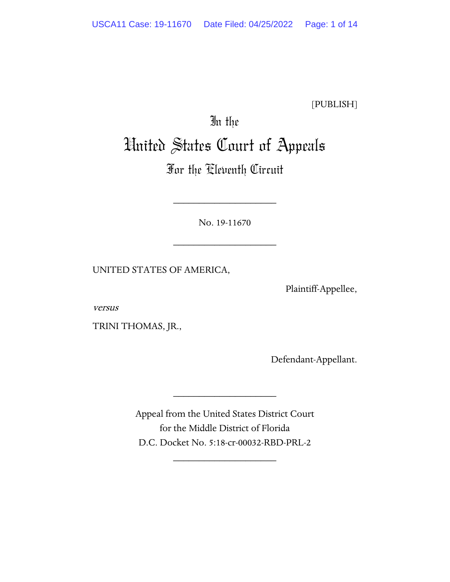[PUBLISH]

# In the United States Court of Appeals

## For the Eleventh Circuit

No. 19-11670

\_\_\_\_\_\_\_\_\_\_\_\_\_\_\_\_\_\_\_\_

\_\_\_\_\_\_\_\_\_\_\_\_\_\_\_\_\_\_\_\_

UNITED STATES OF AMERICA,

Plaintiff-Appellee,

versus

TRINI THOMAS, JR.,

Defendant-Appellant.

Appeal from the United States District Court for the Middle District of Florida D.C. Docket No. 5:18-cr-00032-RBD-PRL-2

\_\_\_\_\_\_\_\_\_\_\_\_\_\_\_\_\_\_\_\_

\_\_\_\_\_\_\_\_\_\_\_\_\_\_\_\_\_\_\_\_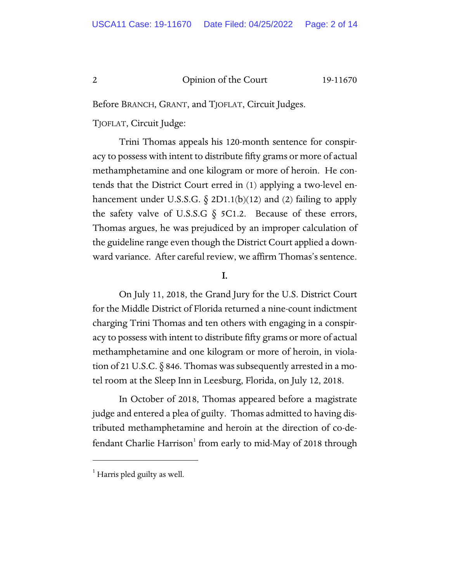Before BRANCH, GRANT, and TJOFLAT, Circuit Judges.

TJOFLAT, Circuit Judge:

Trini Thomas appeals his 120-month sentence for conspiracy to possess with intent to distribute fifty grams or more of actual methamphetamine and one kilogram or more of heroin. He contends that the District Court erred in (1) applying a two-level enhancement under U.S.S.G.  $\S$  2D1.1(b)(12) and (2) failing to apply the safety valve of U.S.S.G  $\S$  5C1.2. Because of these errors, Thomas argues, he was prejudiced by an improper calculation of the guideline range even though the District Court applied a downward variance. After careful review, we affirm Thomas's sentence.

#### I.

On July 11, 2018, the Grand Jury for the U.S. District Court for the Middle District of Florida returned a nine-count indictment charging Trini Thomas and ten others with engaging in a conspiracy to possess with intent to distribute fifty grams or more of actual methamphetamine and one kilogram or more of heroin, in violation of 21 U.S.C.  $\S$  846. Thomas was subsequently arrested in a motel room at the Sleep Inn in Leesburg, Florida, on July 12, 2018.

In October of 2018, Thomas appeared before a magistrate judge and entered a plea of guilty. Thomas admitted to having distributed methamphetamine and heroin at the direction of co-de-fendant Charlie Harrison<sup>[1](#page-1-0)</sup> from early to mid-May of 2018 through

<span id="page-1-0"></span> $<sup>1</sup>$  Harris pled guilty as well.</sup>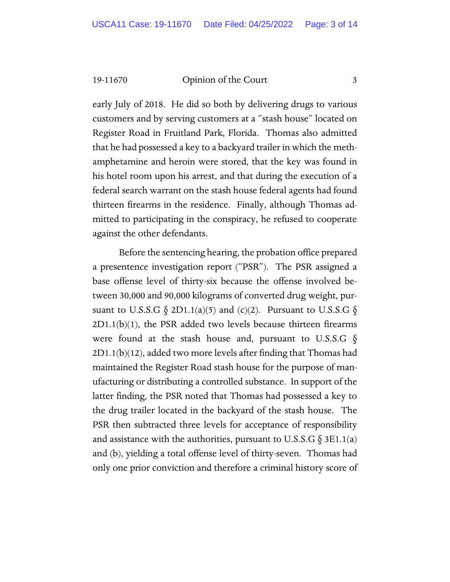early July of 2018. He did so both by delivering drugs to various customers and by serving customers at a "stash house" located on Register Road in Fruitland Park, Florida. Thomas also admitted that he had possessed a key to a backyard trailer in which the methamphetamine and heroin were stored, that the key was found in his hotel room upon his arrest, and that during the execution of a federal search warrant on the stash house federal agents had found thirteen firearms in the residence. Finally, although Thomas admitted to participating in the conspiracy, he refused to cooperate against the other defendants.

Before the sentencing hearing, the probation office prepared a presentence investigation report ("PSR"). The PSR assigned a base offense level of thirty-six because the offense involved between 30,000 and 90,000 kilograms of converted drug weight, pursuant to U.S.S.G  $\S$  2D1.1(a)(5) and (c)(2). Pursuant to U.S.S.G  $\S$  $2D1.1(b)(1)$ , the PSR added two levels because thirteen firearms were found at the stash house and, pursuant to U.S.S.G  $\S$ 2D1.1(b)(12), added two more levels after finding that Thomas had maintained the Register Road stash house for the purpose of manufacturing or distributing a controlled substance. In support of the latter finding, the PSR noted that Thomas had possessed a key to the drug trailer located in the backyard of the stash house. The PSR then subtracted three levels for acceptance of responsibility and assistance with the authorities, pursuant to U.S.S.G  $\S$  3E1.1(a) and (b), yielding a total offense level of thirty-seven. Thomas had only one prior conviction and therefore a criminal history score of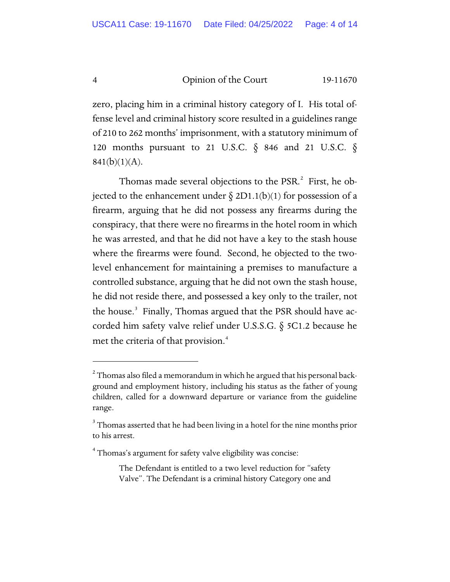zero, placing him in a criminal history category of I. His total offense level and criminal history score resulted in a guidelines range of 210 to 262 months' imprisonment, with a statutory minimum of 120 months pursuant to 21 U.S.C. § 846 and 21 U.S.C. §  $841(b)(1)(A)$ .

Thomas made several objections to the PSR.<sup>[2](#page-3-0)</sup> First, he objected to the enhancement under  $\S 2D1.1(b)(1)$  for possession of a firearm, arguing that he did not possess any firearms during the conspiracy, that there were no firearms in the hotel room in which he was arrested, and that he did not have a key to the stash house where the firearms were found. Second, he objected to the twolevel enhancement for maintaining a premises to manufacture a controlled substance, arguing that he did not own the stash house, he did not reside there, and possessed a key only to the trailer, not the house.<sup>[3](#page-3-1)</sup> Finally, Thomas argued that the PSR should have accorded him safety valve relief under U.S.S.G. § 5C1.2 because he met the criteria of that provision.<sup>[4](#page-3-2)</sup>

<span id="page-3-0"></span> $^{\text{2}}$  Thomas also filed a memorandum in which he argued that his personal background and employment history, including his status as the father of young children, called for a downward departure or variance from the guideline range.

<span id="page-3-1"></span> $3$  Thomas asserted that he had been living in a hotel for the nine months prior to his arrest.

<span id="page-3-2"></span><sup>&</sup>lt;sup>4</sup> Thomas's argument for safety valve eligibility was concise:

The Defendant is entitled to a two level reduction for "safety Valve". The Defendant is a criminal history Category one and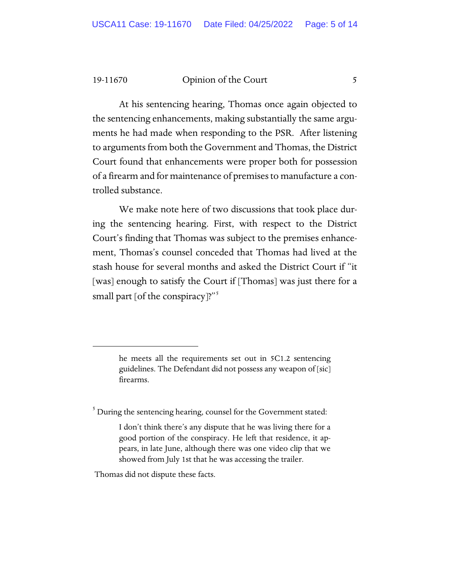At his sentencing hearing, Thomas once again objected to the sentencing enhancements, making substantially the same arguments he had made when responding to the PSR. After listening to arguments from both the Government and Thomas, the District Court found that enhancements were proper both for possession of a firearm and for maintenance of premises to manufacture a controlled substance.

We make note here of two discussions that took place during the sentencing hearing. First, with respect to the District Court's finding that Thomas was subject to the premises enhancement, Thomas's counsel conceded that Thomas had lived at the stash house for several months and asked the District Court if "it [was] enough to satisfy the Court if [Thomas] was just there for a small part [of the conspiracy]?"<sup>[5](#page-4-0)</sup>

Thomas did not dispute these facts.

he meets all the requirements set out in 5C1.2 sentencing guidelines. The Defendant did not possess any weapon of [sic] firearms.

<span id="page-4-0"></span> $5$  During the sentencing hearing, counsel for the Government stated:

I don't think there's any dispute that he was living there for a good portion of the conspiracy. He left that residence, it appears, in late June, although there was one video clip that we showed from July 1st that he was accessing the trailer.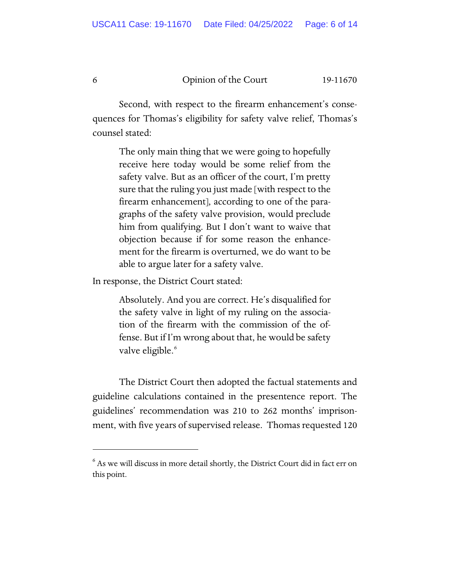Second, with respect to the firearm enhancement's consequences for Thomas's eligibility for safety valve relief, Thomas's counsel stated:

> The only main thing that we were going to hopefully receive here today would be some relief from the safety valve. But as an officer of the court, I'm pretty sure that the ruling you just made [with respect to the firearm enhancement], according to one of the paragraphs of the safety valve provision, would preclude him from qualifying. But I don't want to waive that objection because if for some reason the enhancement for the firearm is overturned, we do want to be able to argue later for a safety valve.

In response, the District Court stated:

Absolutely. And you are correct. He's disqualified for the safety valve in light of my ruling on the association of the firearm with the commission of the offense. But if I'm wrong about that, he would be safety valve eligible.<sup>[6](#page-5-0)</sup>

The District Court then adopted the factual statements and guideline calculations contained in the presentence report. The guidelines' recommendation was 210 to 262 months' imprisonment, with five years of supervised release. Thomas requested 120

<span id="page-5-0"></span> $^6$  As we will discuss in more detail shortly, the District Court did in fact err on this point.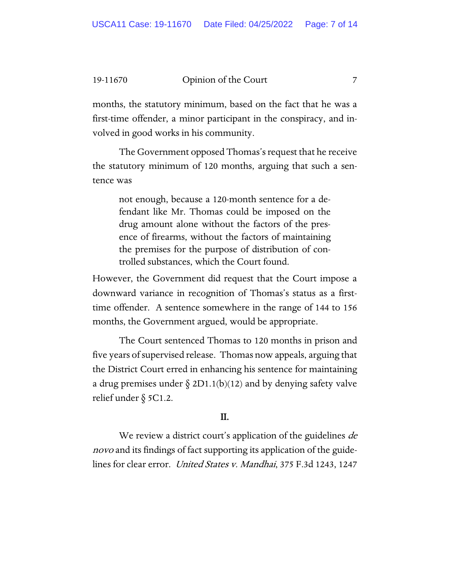months, the statutory minimum, based on the fact that he was a first-time offender, a minor participant in the conspiracy, and involved in good works in his community.

The Government opposed Thomas's request that he receive the statutory minimum of 120 months, arguing that such a sentence was

not enough, because a 120-month sentence for a defendant like Mr. Thomas could be imposed on the drug amount alone without the factors of the presence of firearms, without the factors of maintaining the premises for the purpose of distribution of controlled substances, which the Court found.

However, the Government did request that the Court impose a downward variance in recognition of Thomas's status as a firsttime offender. A sentence somewhere in the range of 144 to 156 months, the Government argued, would be appropriate.

The Court sentenced Thomas to 120 months in prison and five years of supervised release. Thomas now appeals, arguing that the District Court erred in enhancing his sentence for maintaining a drug premises under  $\S 2D1.1(b)(12)$  and by denying safety valve relief under § 5C1.2.

#### II.

We review a district court's application of the guidelines *de* novo and its findings of fact supporting its application of the guidelines for clear error. United States v. Mandhai, 375 F.3d 1243, 1247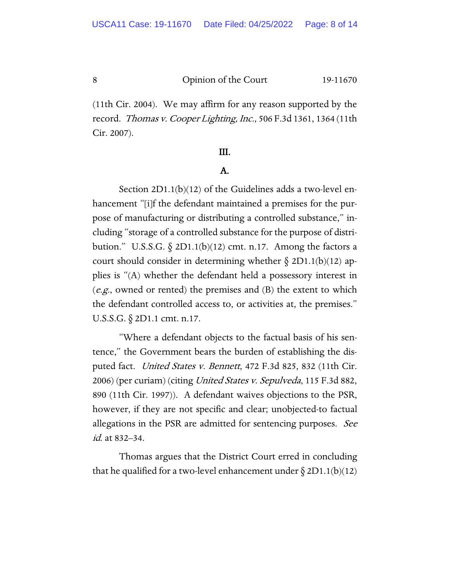(11th Cir. 2004). We may affirm for any reason supported by the record. Thomas v. Cooper Lighting, Inc., 506 F.3d 1361, 1364 (11th Cir. 2007).

#### III.

#### A.

Section 2D1.1(b)(12) of the Guidelines adds a two-level enhancement "[i]f the defendant maintained a premises for the purpose of manufacturing or distributing a controlled substance," including "storage of a controlled substance for the purpose of distribution." U.S.S.G.  $\delta$  2D1.1(b)(12) cmt. n.17. Among the factors a court should consider in determining whether  $\S 2D1.1(b)(12)$  applies is "(A) whether the defendant held a possessory interest in  $(e.g.,$  owned or rented) the premises and  $(B)$  the extent to which the defendant controlled access to, or activities at, the premises." U.S.S.G. § 2D1.1 cmt. n.17.

"Where a defendant objects to the factual basis of his sentence," the Government bears the burden of establishing the disputed fact. United States v. Bennett, 472 F.3d 825, 832 (11th Cir. 2006) (per curiam) (citing *United States v. Sepulveda*, 115 F.3d 882, 890 (11th Cir. 1997)). A defendant waives objections to the PSR, however, if they are not specific and clear; unobjected-to factual allegations in the PSR are admitted for sentencing purposes. See id. at 832–34.

Thomas argues that the District Court erred in concluding that he qualified for a two-level enhancement under  $\S 2D1.1(b)(12)$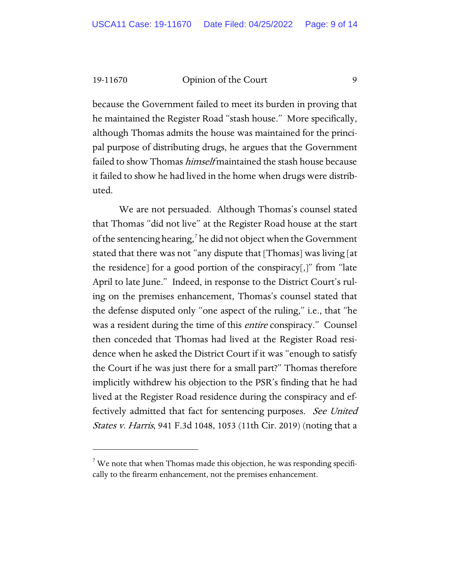because the Government failed to meet its burden in proving that he maintained the Register Road "stash house." More specifically, although Thomas admits the house was maintained for the principal purpose of distributing drugs, he argues that the Government failed to show Thomas *himself* maintained the stash house because it failed to show he had lived in the home when drugs were distributed.

We are not persuaded. Although Thomas's counsel stated that Thomas "did not live" at the Register Road house at the start of the sentencing hearing,<sup>[7](#page-8-0)</sup> he did not object when the Government stated that there was not "any dispute that [Thomas] was living [at the residence] for a good portion of the conspiracy[,]" from "late April to late June." Indeed, in response to the District Court's ruling on the premises enhancement, Thomas's counsel stated that the defense disputed only "one aspect of the ruling," i.e., that "he was a resident during the time of this *entire* conspiracy." Counsel then conceded that Thomas had lived at the Register Road residence when he asked the District Court if it was "enough to satisfy the Court if he was just there for a small part?" Thomas therefore implicitly withdrew his objection to the PSR's finding that he had lived at the Register Road residence during the conspiracy and effectively admitted that fact for sentencing purposes. See United *States v. Harris*, 941 F.3d 1048, 1053 (11th Cir. 2019) (noting that a

<span id="page-8-0"></span> $7$  We note that when Thomas made this objection, he was responding specifically to the firearm enhancement, not the premises enhancement.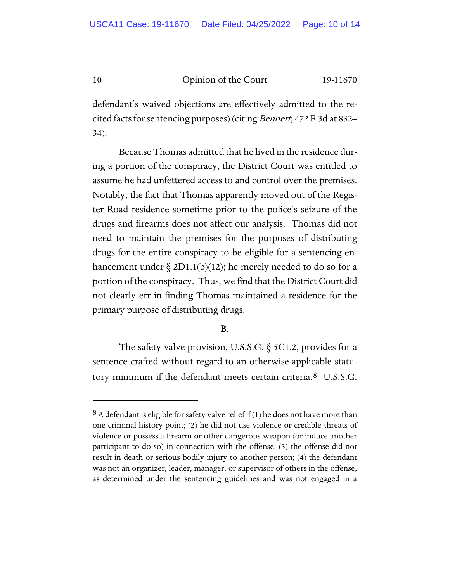defendant's waived objections are effectively admitted to the recited facts for sentencing purposes) (citing *Bennett*, 472 F.3d at 832– 34).

Because Thomas admitted that he lived in the residence during a portion of the conspiracy, the District Court was entitled to assume he had unfettered access to and control over the premises. Notably, the fact that Thomas apparently moved out of the Register Road residence sometime prior to the police's seizure of the drugs and firearms does not affect our analysis. Thomas did not need to maintain the premises for the purposes of distributing drugs for the entire conspiracy to be eligible for a sentencing enhancement under  $\S 2D1.1(b)(12)$ ; he merely needed to do so for a portion of the conspiracy. Thus, we find that the District Court did not clearly err in finding Thomas maintained a residence for the primary purpose of distributing drugs.

### B.

The safety valve provision, U.S.S.G. § 5C1.2, provides for a sentence crafted without regard to an otherwise-applicable statutory minimum if the defendant meets certain criteria.[8](#page-9-0) U.S.S.G.

<span id="page-9-0"></span> $8$  A defendant is eligible for safety valve relief if (1) he does not have more than one criminal history point; (2) he did not use violence or credible threats of violence or possess a firearm or other dangerous weapon (or induce another participant to do so) in connection with the offense; (3) the offense did not result in death or serious bodily injury to another person; (4) the defendant was not an organizer, leader, manager, or supervisor of others in the offense, as determined under the sentencing guidelines and was not engaged in a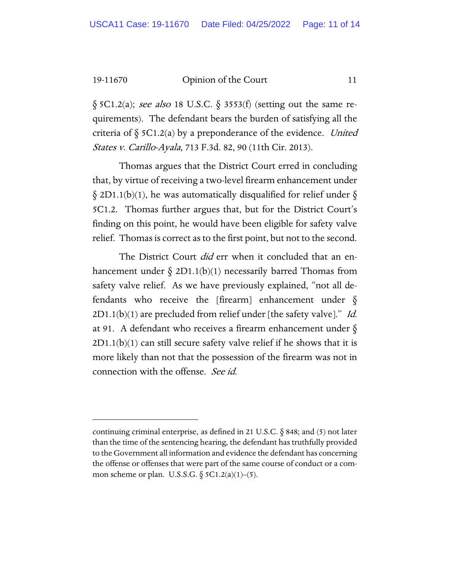$\S$  5C1.2(a); see also 18 U.S.C.  $\S$  3553(f) (setting out the same requirements). The defendant bears the burden of satisfying all the criteria of  $\S$  5C1.2(a) by a preponderance of the evidence. United States v. Carillo-Ayala, 713 F.3d. 82, 90 (11th Cir. 2013).

Thomas argues that the District Court erred in concluding that, by virtue of receiving a two-level firearm enhancement under  $\S$  2D1.1(b)(1), he was automatically disqualified for relief under  $\S$ 5C1.2. Thomas further argues that, but for the District Court's finding on this point, he would have been eligible for safety valve relief. Thomas is correct as to the first point, but not to the second.

The District Court *did* err when it concluded that an enhancement under  $\delta$  2D1.1(b)(1) necessarily barred Thomas from safety valve relief. As we have previously explained, "not all defendants who receive the [firearm] enhancement under §  $2D1.1(b)(1)$  are precluded from relief under [the safety valve]." Id. at 91. A defendant who receives a firearm enhancement under  $\delta$  $2D1.1(b)(1)$  can still secure safety valve relief if he shows that it is more likely than not that the possession of the firearm was not in connection with the offense. See id.

continuing criminal enterprise, as defined in 21 U.S.C.  $\S$  848; and (5) not later than the time of the sentencing hearing, the defendant has truthfully provided to the Government all information and evidence the defendant has concerning the offense or offenses that were part of the same course of conduct or a common scheme or plan. U.S.S.G.  $\S$  5C1.2(a)(1)–(5).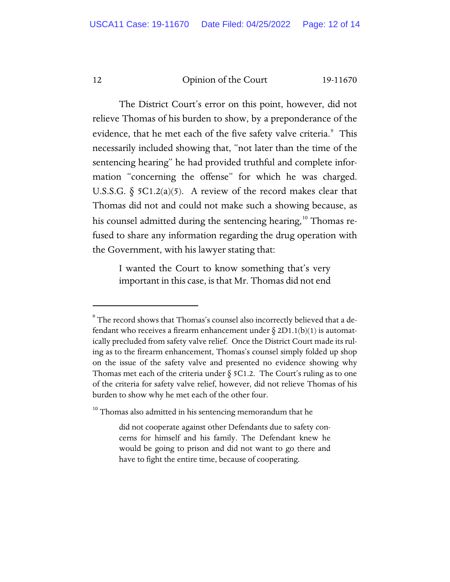The District Court's error on this point, however, did not relieve Thomas of his burden to show, by a preponderance of the evidence, that he met each of the five safety valve criteria.<sup>[9](#page-11-0)</sup> This necessarily included showing that, "not later than the time of the sentencing hearing" he had provided truthful and complete information "concerning the offense" for which he was charged. U.S.S.G.  $\S$  5C1.2(a)(5). A review of the record makes clear that Thomas did not and could not make such a showing because, as his counsel admitted during the sentencing hearing,<sup>[10](#page-11-1)</sup> Thomas refused to share any information regarding the drug operation with the Government, with his lawyer stating that:

I wanted the Court to know something that's very important in this case, is that Mr. Thomas did not end

<span id="page-11-0"></span> $9$  The record shows that Thomas's counsel also incorrectly believed that a defendant who receives a firearm enhancement under  $\S 2D1.1(b)(1)$  is automatically precluded from safety valve relief. Once the District Court made its ruling as to the firearm enhancement, Thomas's counsel simply folded up shop on the issue of the safety valve and presented no evidence showing why Thomas met each of the criteria under  $\S$  5C1.2. The Court's ruling as to one of the criteria for safety valve relief, however, did not relieve Thomas of his burden to show why he met each of the other four.

<span id="page-11-1"></span> $^{10}$  Thomas also admitted in his sentencing memorandum that he  $\,$ 

did not cooperate against other Defendants due to safety concerns for himself and his family. The Defendant knew he would be going to prison and did not want to go there and have to fight the entire time, because of cooperating.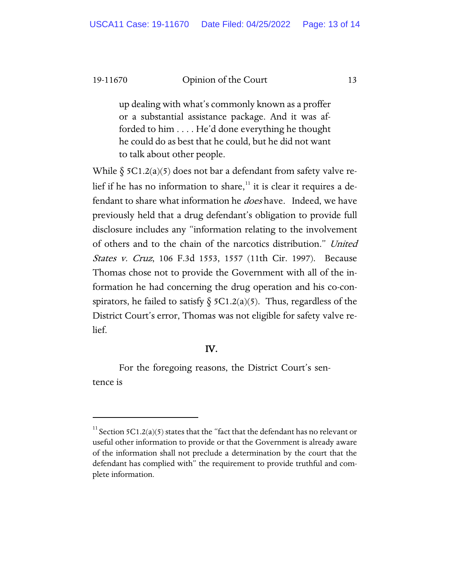up dealing with what's commonly known as a proffer or a substantial assistance package. And it was afforded to him . . . . He'd done everything he thought he could do as best that he could, but he did not want to talk about other people.

While  $\S$  5C1.2(a)(5) does not bar a defendant from safety valve relief if he has no information to share, $11$  it is clear it requires a defendant to share what information he *does* have. Indeed, we have previously held that a drug defendant's obligation to provide full disclosure includes any "information relating to the involvement of others and to the chain of the narcotics distribution." United States v. Cruz, 106 F.3d 1553, 1557 (11th Cir. 1997). Because Thomas chose not to provide the Government with all of the information he had concerning the drug operation and his co-conspirators, he failed to satisfy  $\S$  5C1.2(a)(5). Thus, regardless of the District Court's error, Thomas was not eligible for safety valve relief.

#### IV.

For the foregoing reasons, the District Court's sentence is

<span id="page-12-0"></span><sup>&</sup>lt;sup>11</sup> Section 5C1.2(a)(5) states that the "fact that the defendant has no relevant or useful other information to provide or that the Government is already aware of the information shall not preclude a determination by the court that the defendant has complied with" the requirement to provide truthful and complete information.